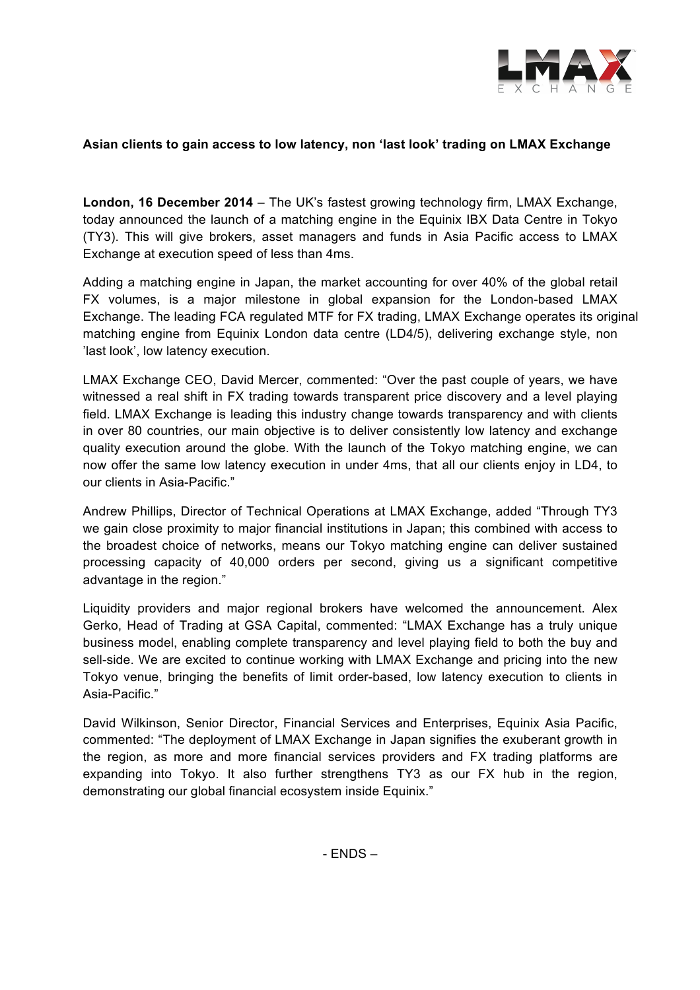

# **Asian clients to gain access to low latency, non 'last look' trading on LMAX Exchange**

**London, 16 December 2014** – The UK's fastest growing technology firm, LMAX Exchange, today announced the launch of a matching engine in the Equinix IBX Data Centre in Tokyo (TY3). This will give brokers, asset managers and funds in Asia Pacific access to LMAX Exchange at execution speed of less than 4ms.

Adding a matching engine in Japan, the market accounting for over 40% of the global retail FX volumes, is a major milestone in global expansion for the London-based LMAX Exchange. The leading FCA regulated MTF for FX trading, LMAX Exchange operates its original matching engine from Equinix London data centre (LD4/5), delivering exchange style, non 'last look', low latency execution.

LMAX Exchange CEO, David Mercer, commented: "Over the past couple of years, we have witnessed a real shift in FX trading towards transparent price discovery and a level playing field. LMAX Exchange is leading this industry change towards transparency and with clients in over 80 countries, our main objective is to deliver consistently low latency and exchange quality execution around the globe. With the launch of the Tokyo matching engine, we can now offer the same low latency execution in under 4ms, that all our clients enjoy in LD4, to our clients in Asia-Pacific."

Andrew Phillips, Director of Technical Operations at LMAX Exchange, added "Through TY3 we gain close proximity to major financial institutions in Japan; this combined with access to the broadest choice of networks, means our Tokyo matching engine can deliver sustained processing capacity of 40,000 orders per second, giving us a significant competitive advantage in the region."

Liquidity providers and major regional brokers have welcomed the announcement. Alex Gerko, Head of Trading at GSA Capital, commented: "LMAX Exchange has a truly unique business model, enabling complete transparency and level playing field to both the buy and sell-side. We are excited to continue working with LMAX Exchange and pricing into the new Tokyo venue, bringing the benefits of limit order-based, low latency execution to clients in Asia-Pacific."

David Wilkinson, Senior Director, Financial Services and Enterprises, Equinix Asia Pacific, commented: "The deployment of LMAX Exchange in Japan signifies the exuberant growth in the region, as more and more financial services providers and FX trading platforms are expanding into Tokyo. It also further strengthens TY3 as our FX hub in the region, demonstrating our global financial ecosystem inside Equinix."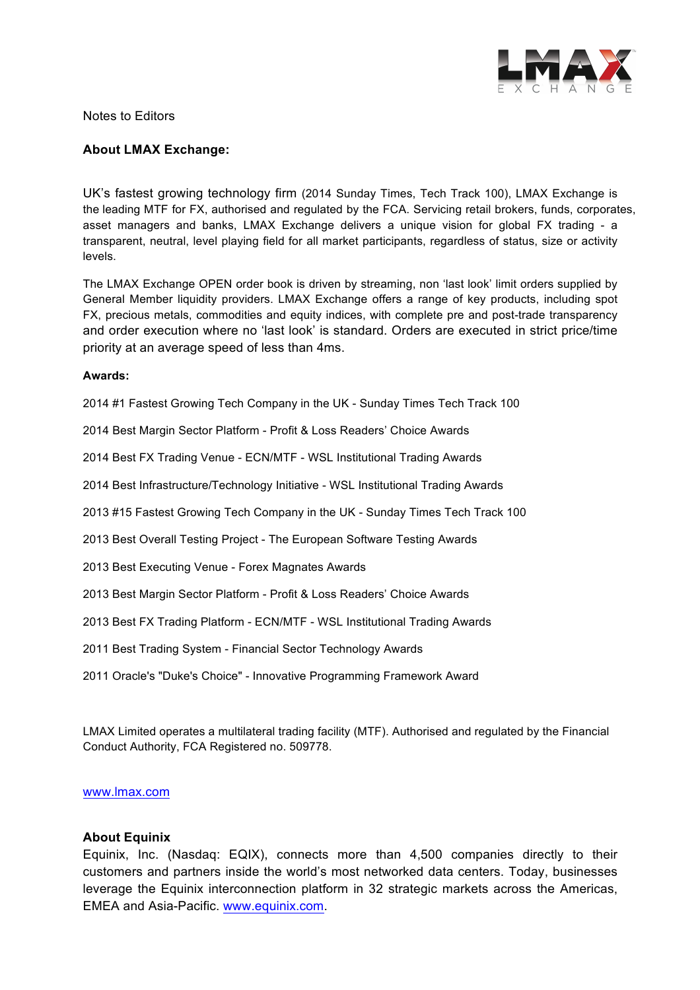

Notes to Editors

### **About LMAX Exchange:**

UK's fastest growing technology firm (2014 Sunday Times, Tech Track 100), LMAX Exchange is the leading MTF for FX, authorised and regulated by the FCA. Servicing retail brokers, funds, corporates, asset managers and banks, LMAX Exchange delivers a unique vision for global FX trading - a transparent, neutral, level playing field for all market participants, regardless of status, size or activity levels.

The LMAX Exchange OPEN order book is driven by streaming, non 'last look' limit orders supplied by General Member liquidity providers. LMAX Exchange offers a range of key products, including spot FX, precious metals, commodities and equity indices, with complete pre and post-trade transparency and order execution where no 'last look' is standard. Orders are executed in strict price/time priority at an average speed of less than 4ms.

#### **Awards:**

2014 #1 Fastest Growing Tech Company in the UK - Sunday Times Tech Track 100

2014 Best Margin Sector Platform - Profit & Loss Readers' Choice Awards

2014 Best FX Trading Venue - ECN/MTF - WSL Institutional Trading Awards

2014 Best Infrastructure/Technology Initiative - WSL Institutional Trading Awards

2013 #15 Fastest Growing Tech Company in the UK - Sunday Times Tech Track 100

2013 Best Overall Testing Project - The European Software Testing Awards

2013 Best Executing Venue - Forex Magnates Awards

2013 Best Margin Sector Platform - Profit & Loss Readers' Choice Awards

2013 Best FX Trading Platform - ECN/MTF - WSL Institutional Trading Awards

2011 Best Trading System - Financial Sector Technology Awards

2011 Oracle's "Duke's Choice" - Innovative Programming Framework Award

LMAX Limited operates a multilateral trading facility (MTF). Authorised and regulated by the Financial Conduct Authority, FCA Registered no. 509778.

#### www.lmax.com

### **About Equinix**

Equinix, Inc. (Nasdaq: EQIX), connects more than 4,500 companies directly to their customers and partners inside the world's most networked data centers. Today, businesses leverage the Equinix interconnection platform in 32 strategic markets across the Americas, EMEA and Asia-Pacific. www.equinix.com.